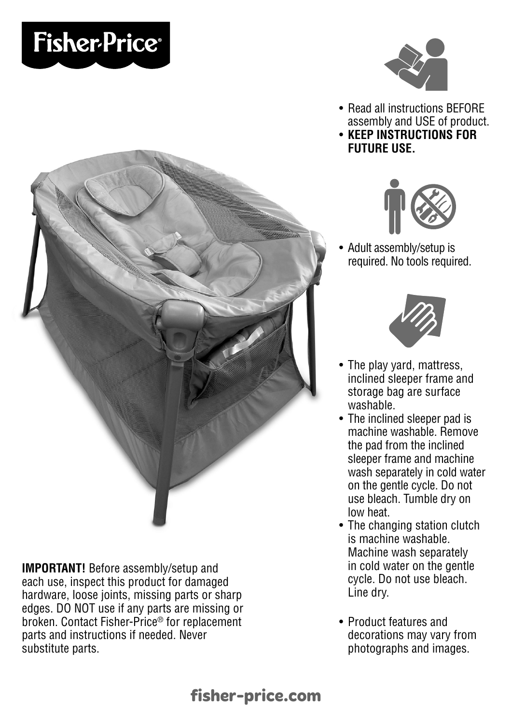# **Fisher-Price®**



- Read all instructions BEFORE assembly and USE of product.
- **KEEP INSTRUCTIONS FOR FUTURE USE.**



• Adult assembly/setup is required. No tools required. •



- The play yard, mattress, inclined sleeper frame and storage bag are surface washable.
- The inclined sleeper pad is machine washable. Remove the pad from the inclined sleeper frame and machine wash separately in cold water on the gentle cycle. Do not use bleach. Tumble dry on low heat.
- The changing station clutch is machine washable. Machine wash separately in cold water on the gentle cycle. Do not use bleach. Line dry.
- Product features and decorations may vary from photographs and images.



**IMPORTANT!** Before assembly/setup and each use, inspect this product for damaged hardware, loose joints, missing parts or sharp edges. DO NOT use if any parts are missing or broken. Contact Fisher-Price® for replacement parts and instructions if needed. Never substitute parts.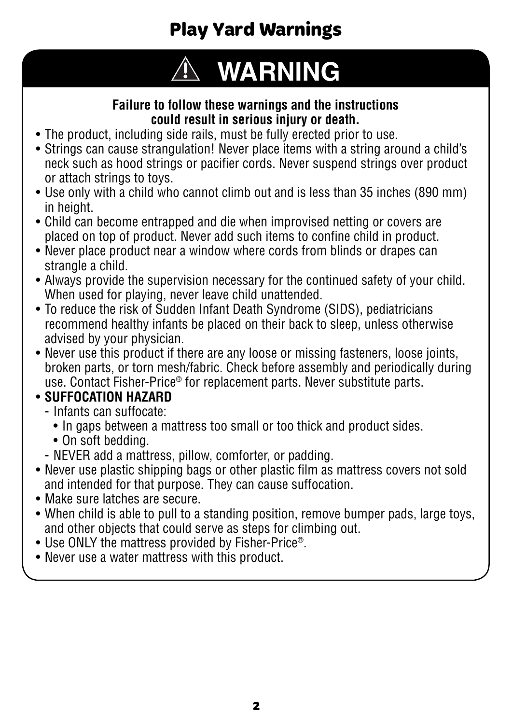## **Play Yard Warnings**

# **WARNING**

#### **Failure to follow these warnings and the instructions could result in serious injury or death.**

- The product, including side rails, must be fully erected prior to use.
- Strings can cause strangulation! Never place items with a string around a child's neck such as hood strings or pacifier cords. Never suspend strings over product or attach strings to toys.
- Use only with a child who cannot climb out and is less than 35 inches (890 mm) in height.
- Child can become entrapped and die when improvised netting or covers are placed on top of product. Never add such items to confine child in product.
- Never place product near a window where cords from blinds or drapes can strangle a child.
- Always provide the supervision necessary for the continued safety of your child. When used for playing, never leave child unattended.
- To reduce the risk of Sudden Infant Death Syndrome (SIDS), pediatricians recommend healthy infants be placed on their back to sleep, unless otherwise advised by your physician.
- Never use this product if there are any loose or missing fasteners, loose joints, broken parts, or torn mesh/fabric. Check before assembly and periodically during use. Contact Fisher-Price® for replacement parts. Never substitute parts.

#### • **SUFFOCATION HAZARD**

- Infants can suffocate:
	- In gaps between a mattress too small or too thick and product sides.
	- On soft bedding.
- NEVER add a mattress, pillow, comforter, or padding.
- Never use plastic shipping bags or other plastic film as mattress covers not sold and intended for that purpose. They can cause suffocation.
- Make sure latches are secure.
- When child is able to pull to a standing position, remove bumper pads, large toys, and other objects that could serve as steps for climbing out.
- Use ONLY the mattress provided by Fisher-Price®.
- Never use a water mattress with this product.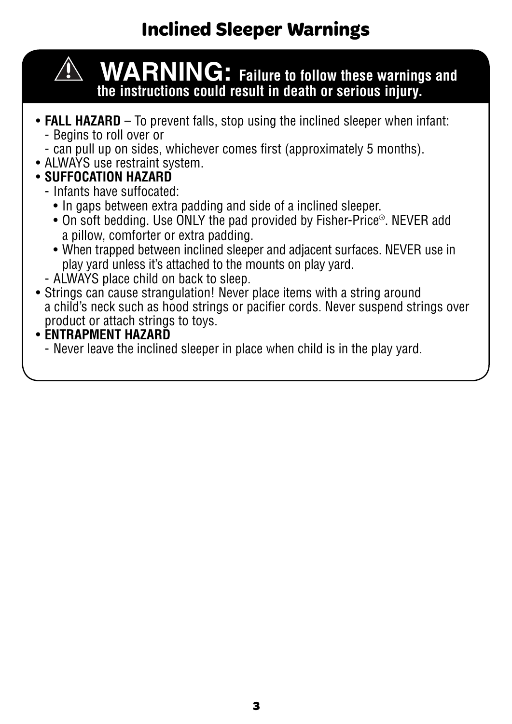## **Inclined Sleeper Warnings**



 **WARNING: Failure to follow these warnings and the instructions could result in death or serious injury.**

- **FALL HAZARD** To prevent falls, stop using the inclined sleeper when infant:
	- Begins to roll over or
	- can pull up on sides, whichever comes first (approximately 5 months).
- ALWAYS use restraint system.
- **SUFFOCATION HAZARD**
	- Infants have suffocated:
		- In gaps between extra padding and side of a inclined sleeper.
		- On soft bedding. Use ONLY the pad provided by Fisher-Price®. NEVER add a pillow, comforter or extra padding.
		- When trapped between inclined sleeper and adjacent surfaces. NEVER use in play yard unless it's attached to the mounts on play yard.
	- ALWAYS place child on back to sleep.
- Strings can cause strangulation! Never place items with a string around a child's neck such as hood strings or pacifier cords. Never suspend strings over product or attach strings to toys.
- **ENTRAPMENT HAZARD**
	- Never leave the inclined sleeper in place when child is in the play yard.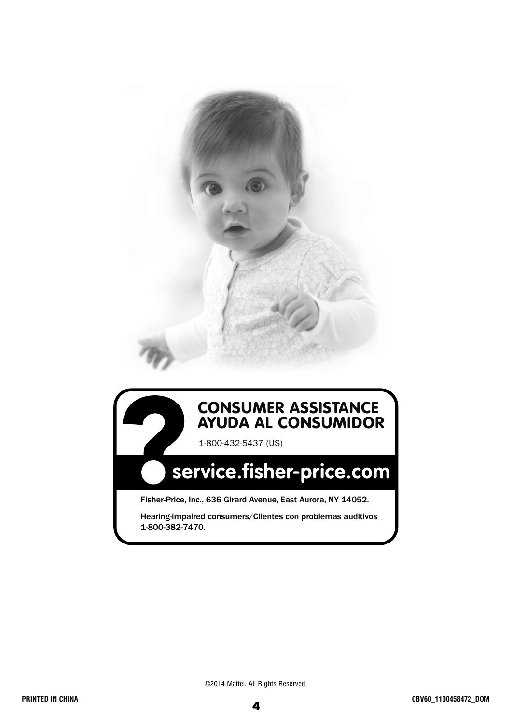

#### **CONSUMER ASSISTANCE AYUDA AL CONSUMIDOR**

1-800-432-5437 (US)

## service.fisher-price.com

Fisher-Price, Inc., 636 Girard Avenue, East Aurora, NY 14052.

Hearing-impaired consumers/Clientes con problemas auditivos 1-800-382-7470.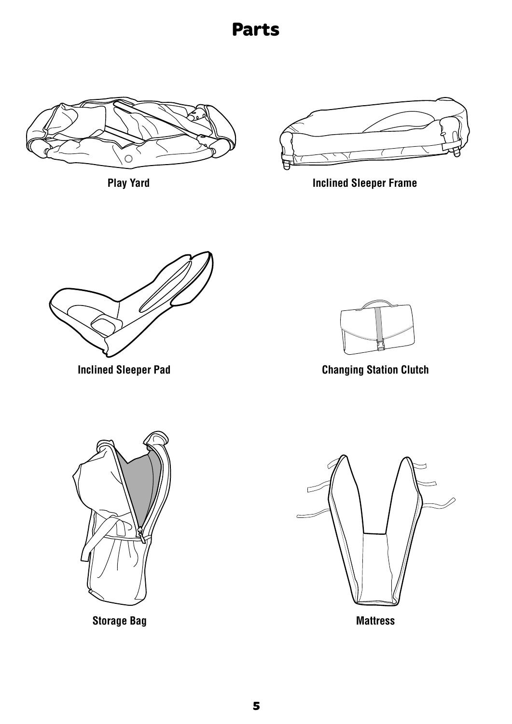#### **Parts**



**Play Yard**



**Inclined Sleeper Frame**



**Inclined Sleeper Pad**



**Changing Station Clutch**



**Storage Bag**



**Mattress**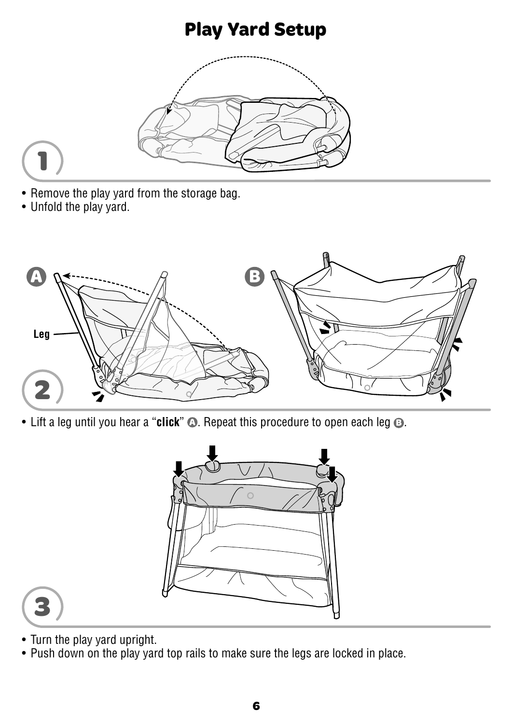#### **Play Yard Setup**





- Remove the play yard from the storage bag.
- Unfold the play yard.



• Lift a leg until you hear a "**click**" **A** . Repeat this procedure to open each leg **B** .





- Turn the play yard upright.
- Push down on the play yard top rails to make sure the legs are locked in place.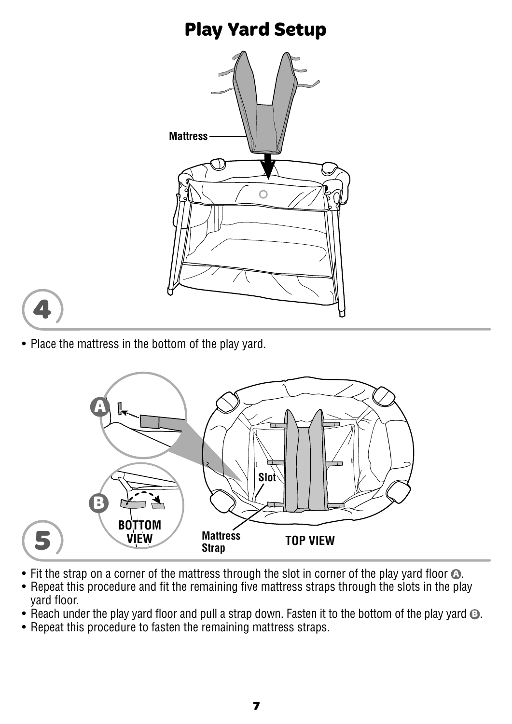#### **Play Yard Setup**





• Place the mattress in the bottom of the play yard.



- Fit the strap on a corner of the mattress through the slot in corner of the play yard floor  $\odot$ .
- Repeat this procedure and fit the remaining five mattress straps through the slots in the play yard floor.
- Reach under the play yard floor and pull a strap down. Fasten it to the bottom of the play yard **B**.
- Repeat this procedure to fasten the remaining mattress straps.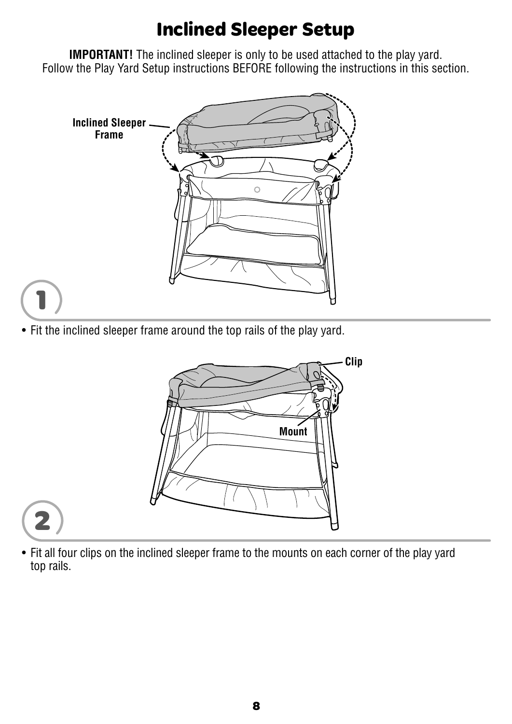#### **Inclined Sleeper Setup**

**IMPORTANT!** The inclined sleeper is only to be used attached to the play yard. Follow the Play Yard Setup instructions BEFORE following the instructions in this section.



• Fit the inclined sleeper frame around the top rails of the play yard.

**1**



• Fit all four clips on the inclined sleeper frame to the mounts on each corner of the play yard top rails.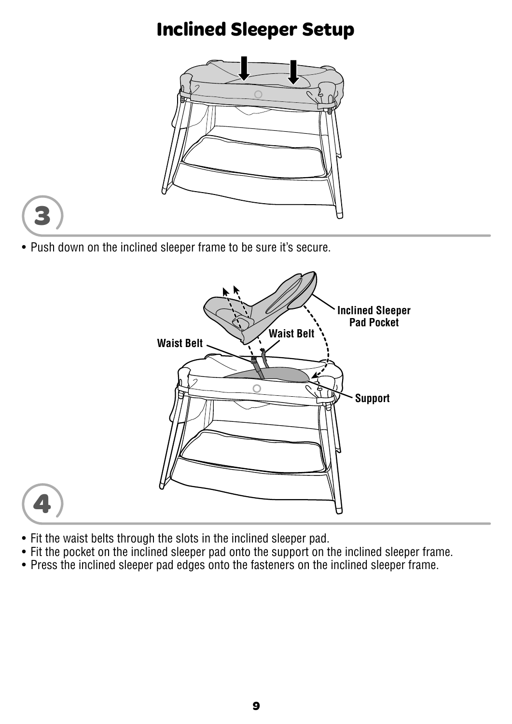#### **Inclined Sleeper Setup**





• Push down on the inclined sleeper frame to be sure it's secure.





- Fit the waist belts through the slots in the inclined sleeper pad.
- Fit the pocket on the inclined sleeper pad onto the support on the inclined sleeper frame.
- Press the inclined sleeper pad edges onto the fasteners on the inclined sleeper frame.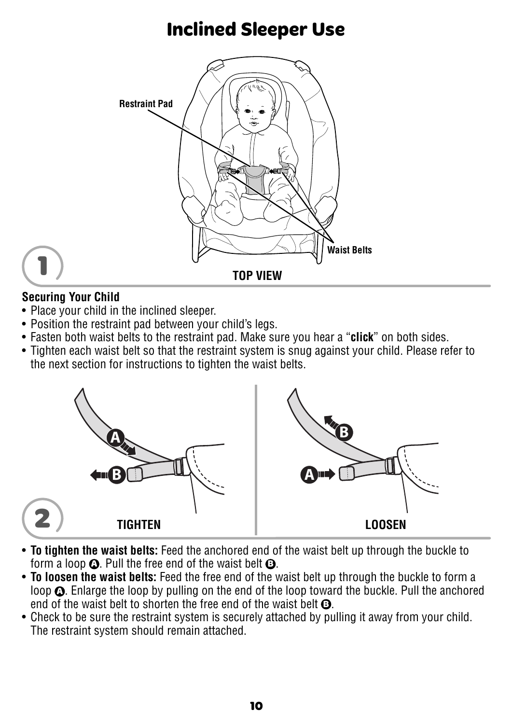#### **Inclined Sleeper Use**



#### **Securing Your Child**

**1**

- Place your child in the inclined sleeper.
- Position the restraint pad between your child's legs.
- Fasten both waist belts to the restraint pad. Make sure you hear a "**click**" on both sides.
- Tighten each waist belt so that the restraint system is snug against your child. Please refer to the next section for instructions to tighten the waist belts.



- **To tighten the waist belts:** Feed the anchored end of the waist belt up through the buckle to form a loop **A** . Pull the free end of the waist belt **B** .
- **To loosen the waist belts:** Feed the free end of the waist belt up through the buckle to form a loop  $\Omega$ . Enlarge the loop by pulling on the end of the loop toward the buckle. Pull the anchored end of the waist belt to shorten the free end of the waist belt **B** .
- Check to be sure the restraint system is securely attached by pulling it away from your child. The restraint system should remain attached.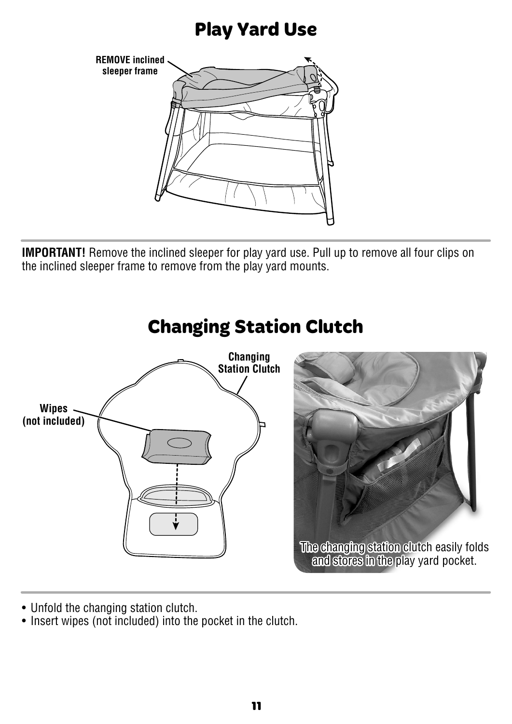#### **Play Yard Use**



**IMPORTANT!** Remove the inclined sleeper for play yard use. Pull up to remove all four clips on the inclined sleeper frame to remove from the play yard mounts.



- Unfold the changing station clutch.
- Insert wipes (not included) into the pocket in the clutch.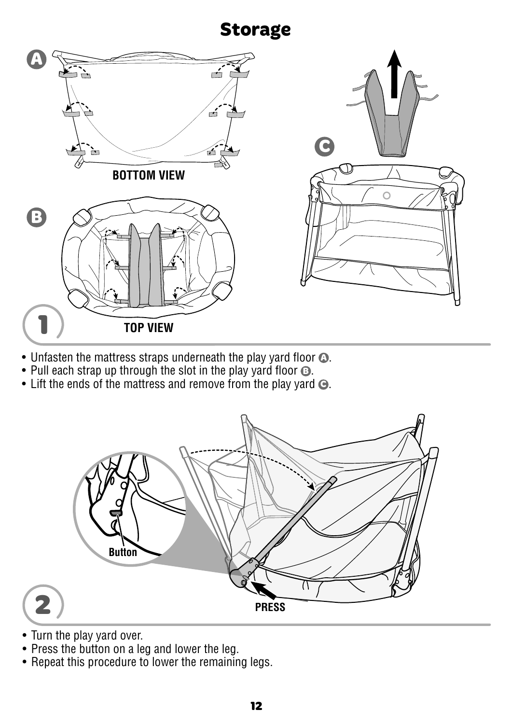#### **Storage**



- Unfasten the mattress straps underneath the play yard floor  $\Omega$ .
- Pull each strap up through the slot in the play yard floor **B** .
- Lift the ends of the mattress and remove from the play yard **C** .



- Turn the play yard over.
- Press the button on a leg and lower the leg.
- Repeat this procedure to lower the remaining legs.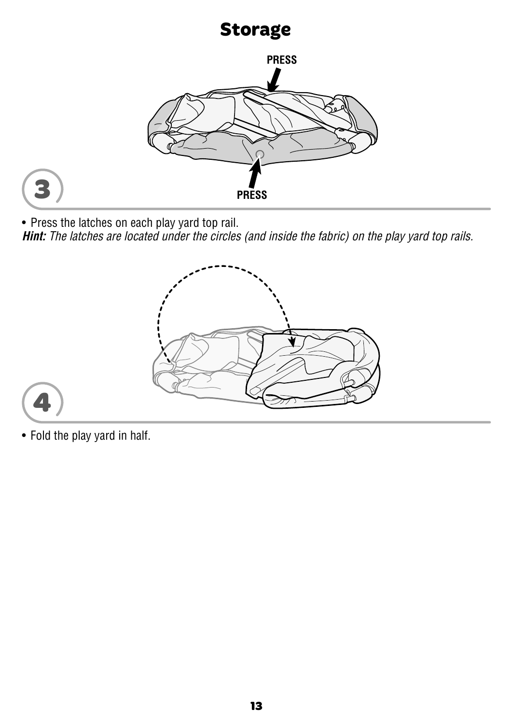#### **Storage**



• Press the latches on each play yard top rail.

**Hint:** The latches are located under the circles (and inside the fabric) on the play yard top rails.





**3**

• Fold the play yard in half.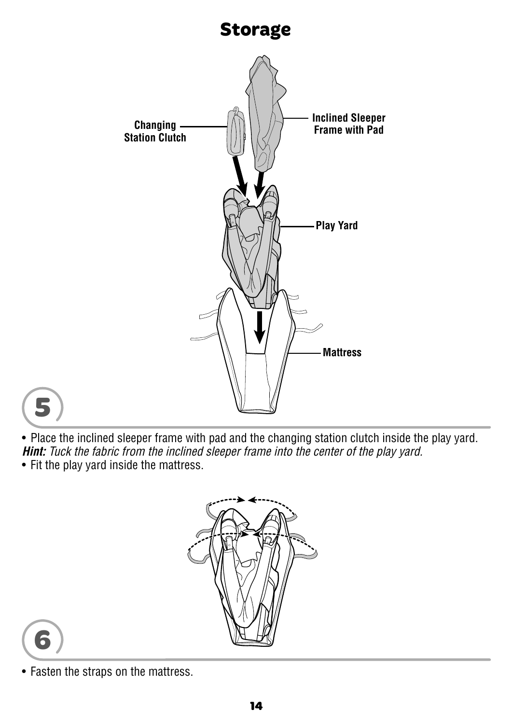# **Storage Inclined Sleeper Frame with Pad Station Clutch Play Yard Mattress**



• Place the inclined sleeper frame with pad and the changing station clutch inside the play yard. **Hint:** Tuck the fabric from the inclined sleeper frame into the center of the play yard.

• Fit the play yard inside the mattress.





• Fasten the straps on the mattress.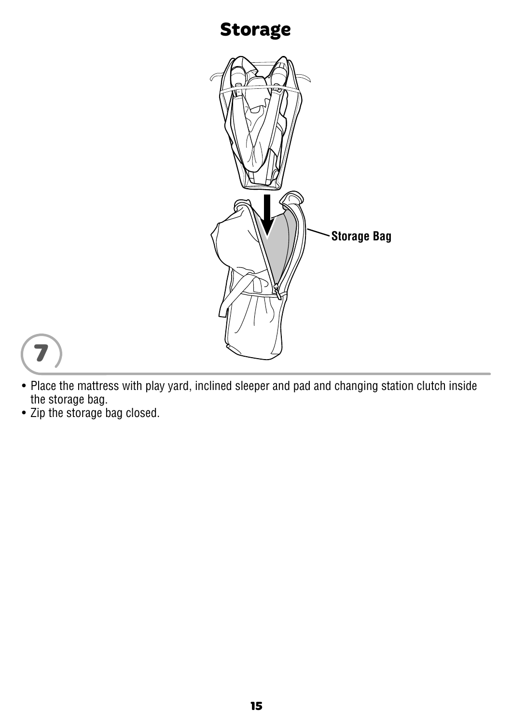#### **Storage**





- Place the mattress with play yard, inclined sleeper and pad and changing station clutch inside the storage bag.
- Zip the storage bag closed.